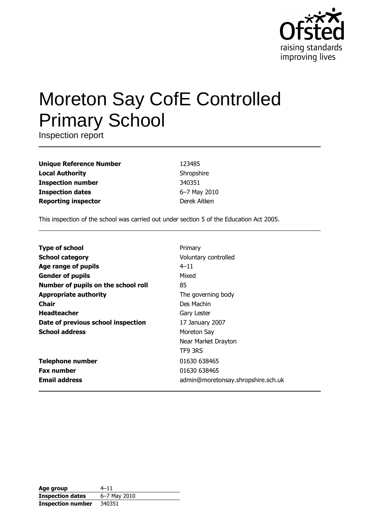

# Moreton Say CofE Controlled **Primary School**

Inspection report

**Unique Reference Number Local Authority Inspection number Inspection dates Reporting inspector** 

123485 Shropshire 340351 6-7 May 2010 Derek Aitken

This inspection of the school was carried out under section 5 of the Education Act 2005.

| <b>Type of school</b>               | Primary                            |
|-------------------------------------|------------------------------------|
| <b>School category</b>              | Voluntary controlled               |
| Age range of pupils                 | $4 - 11$                           |
| <b>Gender of pupils</b>             | Mixed                              |
| Number of pupils on the school roll | 85                                 |
| <b>Appropriate authority</b>        | The governing body                 |
| Chair                               | Des Machin                         |
| <b>Headteacher</b>                  | Gary Lester                        |
| Date of previous school inspection  | 17 January 2007                    |
| <b>School address</b>               | Moreton Say                        |
|                                     | Near Market Drayton                |
|                                     | TF9 3RS                            |
| <b>Telephone number</b>             | 01630 638465                       |
| <b>Fax number</b>                   | 01630 638465                       |
| <b>Email address</b>                | admin@moretonsay.shropshire.sch.uk |

| Age group                | $4 - 11$     |
|--------------------------|--------------|
| <b>Inspection dates</b>  | 6-7 May 2010 |
| <b>Inspection number</b> | 340351       |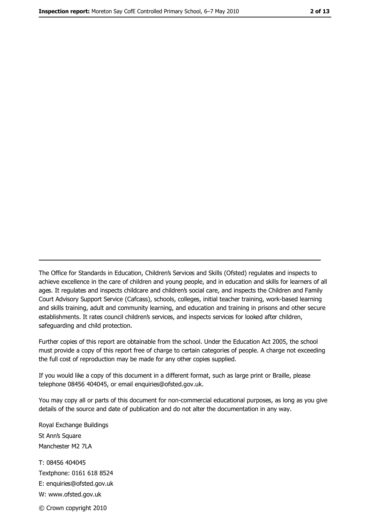The Office for Standards in Education, Children's Services and Skills (Ofsted) regulates and inspects to achieve excellence in the care of children and young people, and in education and skills for learners of all ages. It regulates and inspects childcare and children's social care, and inspects the Children and Family Court Advisory Support Service (Cafcass), schools, colleges, initial teacher training, work-based learning and skills training, adult and community learning, and education and training in prisons and other secure establishments. It rates council children's services, and inspects services for looked after children, safequarding and child protection.

Further copies of this report are obtainable from the school. Under the Education Act 2005, the school must provide a copy of this report free of charge to certain categories of people. A charge not exceeding the full cost of reproduction may be made for any other copies supplied.

If you would like a copy of this document in a different format, such as large print or Braille, please telephone 08456 404045, or email enquiries@ofsted.gov.uk.

You may copy all or parts of this document for non-commercial educational purposes, as long as you give details of the source and date of publication and do not alter the documentation in any way.

Royal Exchange Buildings St Ann's Square Manchester M2 7LA T: 08456 404045 Textphone: 0161 618 8524 E: enquiries@ofsted.gov.uk W: www.ofsted.gov.uk © Crown copyright 2010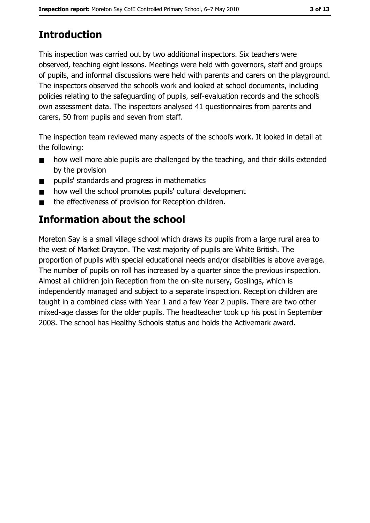# **Introduction**

This inspection was carried out by two additional inspectors. Six teachers were observed, teaching eight lessons. Meetings were held with governors, staff and groups of pupils, and informal discussions were held with parents and carers on the playground. The inspectors observed the school's work and looked at school documents, including policies relating to the safeguarding of pupils, self-evaluation records and the school's own assessment data. The inspectors analysed 41 questionnaires from parents and carers, 50 from pupils and seven from staff.

The inspection team reviewed many aspects of the school's work. It looked in detail at the following:

- how well more able pupils are challenged by the teaching, and their skills extended  $\blacksquare$ by the provision
- pupils' standards and progress in mathematics  $\blacksquare$
- how well the school promotes pupils' cultural development  $\blacksquare$
- the effectiveness of provision for Reception children.  $\blacksquare$

# **Information about the school**

Moreton Say is a small village school which draws its pupils from a large rural area to the west of Market Drayton. The vast majority of pupils are White British. The proportion of pupils with special educational needs and/or disabilities is above average. The number of pupils on roll has increased by a quarter since the previous inspection. Almost all children join Reception from the on-site nursery, Goslings, which is independently managed and subject to a separate inspection. Reception children are taught in a combined class with Year 1 and a few Year 2 pupils. There are two other mixed-age classes for the older pupils. The headteacher took up his post in September 2008. The school has Healthy Schools status and holds the Activemark award.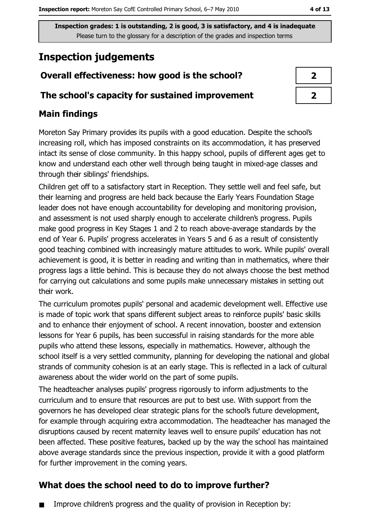# **Inspection judgements**

# Overall effectiveness: how good is the school?

## The school's capacity for sustained improvement

# **Main findings**

Moreton Say Primary provides its pupils with a good education. Despite the school's increasing roll, which has imposed constraints on its accommodation, it has preserved intact its sense of close community. In this happy school, pupils of different ages get to know and understand each other well through being taught in mixed-age classes and through their siblings' friendships.

Children get off to a satisfactory start in Reception. They settle well and feel safe, but their learning and progress are held back because the Early Years Foundation Stage leader does not have enough accountability for developing and monitoring provision, and assessment is not used sharply enough to accelerate children's progress. Pupils make good progress in Key Stages 1 and 2 to reach above-average standards by the end of Year 6. Pupils' progress accelerates in Years 5 and 6 as a result of consistently good teaching combined with increasingly mature attitudes to work. While pupils' overall achievement is good, it is better in reading and writing than in mathematics, where their progress lags a little behind. This is because they do not always choose the best method for carrying out calculations and some pupils make unnecessary mistakes in setting out their work.

The curriculum promotes pupils' personal and academic development well. Effective use is made of topic work that spans different subject areas to reinforce pupils' basic skills and to enhance their enjoyment of school. A recent innovation, booster and extension lessons for Year 6 pupils, has been successful in raising standards for the more able pupils who attend these lessons, especially in mathematics. However, although the school itself is a very settled community, planning for developing the national and global strands of community cohesion is at an early stage. This is reflected in a lack of cultural awareness about the wider world on the part of some pupils.

The headteacher analyses pupils' progress rigorously to inform adjustments to the curriculum and to ensure that resources are put to best use. With support from the governors he has developed clear strategic plans for the school's future development, for example through acquiring extra accommodation. The headteacher has managed the disruptions caused by recent maternity leaves well to ensure pupils' education has not been affected. These positive features, backed up by the way the school has maintained above average standards since the previous inspection, provide it with a good platform for further improvement in the coming years.

# What does the school need to do to improve further?

Improve children's progress and the quality of provision in Reception by:

| ↗ |
|---|
| Z |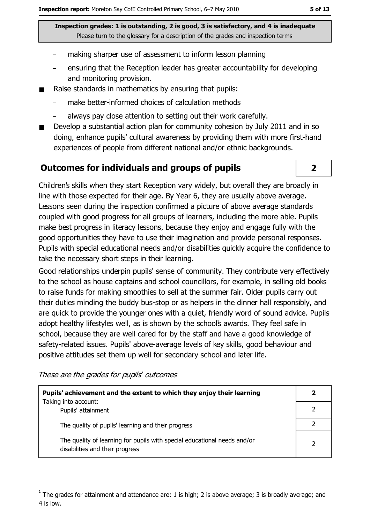- making sharper use of assessment to inform lesson planning
- ensuring that the Reception leader has greater accountability for developing and monitoring provision.
- Raise standards in mathematics by ensuring that pupils:  $\blacksquare$ 
	- make better-informed choices of calculation methods
	- always pay close attention to setting out their work carefully.
- Develop a substantial action plan for community cohesion by July 2011 and in so doing, enhance pupils' cultural awareness by providing them with more first-hand experiences of people from different national and/or ethnic backgrounds.

## **Outcomes for individuals and groups of pupils**

Children's skills when they start Reception vary widely, but overall they are broadly in line with those expected for their age. By Year 6, they are usually above average. Lessons seen during the inspection confirmed a picture of above average standards coupled with good progress for all groups of learners, including the more able. Pupils make best progress in literacy lessons, because they enjoy and engage fully with the good opportunities they have to use their imagination and provide personal responses. Pupils with special educational needs and/or disabilities quickly acquire the confidence to take the necessary short steps in their learning.

Good relationships underpin pupils' sense of community. They contribute very effectively to the school as house captains and school councillors, for example, in selling old books to raise funds for making smoothies to sell at the summer fair. Older pupils carry out their duties minding the buddy bus-stop or as helpers in the dinner hall responsibly, and are quick to provide the younger ones with a quiet, friendly word of sound advice. Pupils adopt healthy lifestyles well, as is shown by the school's awards. They feel safe in school, because they are well cared for by the staff and have a good knowledge of safety-related issues. Pupils' above-average levels of key skills, good behaviour and positive attitudes set them up well for secondary school and later life.

These are the grades for pupils' outcomes

| Pupils' achievement and the extent to which they enjoy their learning                                       |  |
|-------------------------------------------------------------------------------------------------------------|--|
| Taking into account:<br>Pupils' attainment <sup>1</sup>                                                     |  |
| The quality of pupils' learning and their progress                                                          |  |
| The quality of learning for pupils with special educational needs and/or<br>disabilities and their progress |  |

 $\overline{\mathbf{2}}$ 

The grades for attainment and attendance are: 1 is high; 2 is above average; 3 is broadly average; and 4 is low.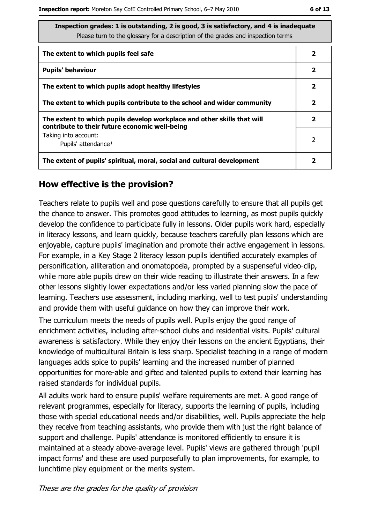| Inspection grades: 1 is outstanding, 2 is good, 3 is satisfactory, and 4 is inadequate<br>Please turn to the glossary for a description of the grades and inspection terms |              |
|----------------------------------------------------------------------------------------------------------------------------------------------------------------------------|--------------|
| The extent to which pupils feel safe                                                                                                                                       | 2            |
| <b>Pupils' behaviour</b>                                                                                                                                                   | $\mathbf{2}$ |
| The extent to which pupils adopt healthy lifestyles                                                                                                                        | $\mathbf{2}$ |
| The extent to which pupils contribute to the school and wider community                                                                                                    | $\mathbf{2}$ |
| The extent to which pupils develop workplace and other skills that will<br>contribute to their future economic well-being                                                  | $\mathbf{2}$ |
| Taking into account:<br>Pupils' attendance <sup>1</sup>                                                                                                                    | 2            |
| The extent of pupils' spiritual, moral, social and cultural development                                                                                                    | 2            |

## How effective is the provision?

Teachers relate to pupils well and pose questions carefully to ensure that all pupils get the chance to answer. This promotes good attitudes to learning, as most pupils quickly develop the confidence to participate fully in lessons. Older pupils work hard, especially in literacy lessons, and learn quickly, because teachers carefully plan lessons which are enjoyable, capture pupils' imagination and promote their active engagement in lessons. For example, in a Key Stage 2 literacy lesson pupils identified accurately examples of personification, alliteration and onomatopoeia, prompted by a suspenseful video-clip, while more able pupils drew on their wide reading to illustrate their answers. In a few other lessons slightly lower expectations and/or less varied planning slow the pace of learning. Teachers use assessment, including marking, well to test pupils' understanding and provide them with useful guidance on how they can improve their work.

The curriculum meets the needs of pupils well. Pupils enjoy the good range of enrichment activities, including after-school clubs and residential visits. Pupils' cultural awareness is satisfactory. While they enjoy their lessons on the ancient Egyptians, their knowledge of multicultural Britain is less sharp. Specialist teaching in a range of modern languages adds spice to pupils' learning and the increased number of planned opportunities for more-able and gifted and talented pupils to extend their learning has raised standards for individual pupils.

All adults work hard to ensure pupils' welfare requirements are met. A good range of relevant programmes, especially for literacy, supports the learning of pupils, including those with special educational needs and/or disabilities, well. Pupils appreciate the help they receive from teaching assistants, who provide them with just the right balance of support and challenge. Pupils' attendance is monitored efficiently to ensure it is maintained at a steady above-average level. Pupils' views are gathered through 'pupil impact forms' and these are used purposefully to plan improvements, for example, to lunchtime play equipment or the merits system.

These are the grades for the quality of provision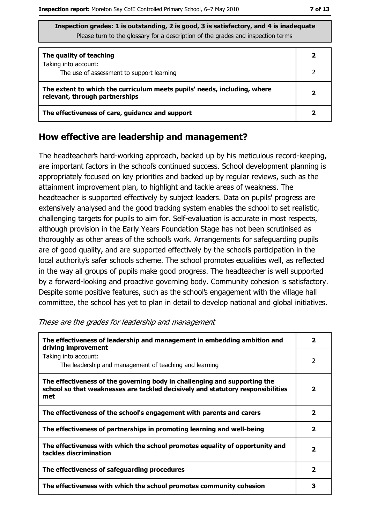| The quality of teaching                                                                                    |  |
|------------------------------------------------------------------------------------------------------------|--|
| Taking into account:<br>The use of assessment to support learning                                          |  |
| The extent to which the curriculum meets pupils' needs, including, where<br>relevant, through partnerships |  |
| The effectiveness of care, guidance and support                                                            |  |

#### How effective are leadership and management?

The headteacher's hard-working approach, backed up by his meticulous record-keeping, are important factors in the school's continued success. School development planning is appropriately focused on key priorities and backed up by regular reviews, such as the attainment improvement plan, to highlight and tackle areas of weakness. The headteacher is supported effectively by subject leaders. Data on pupils' progress are extensively analysed and the good tracking system enables the school to set realistic, challenging targets for pupils to aim for. Self-evaluation is accurate in most respects, although provision in the Early Years Foundation Stage has not been scrutinised as thoroughly as other areas of the school's work. Arrangements for safeguarding pupils are of good quality, and are supported effectively by the school's participation in the local authority's safer schools scheme. The school promotes equalities well, as reflected in the way all groups of pupils make good progress. The headteacher is well supported by a forward-looking and proactive governing body. Community cohesion is satisfactory. Despite some positive features, such as the school's engagement with the village hall committee, the school has yet to plan in detail to develop national and global initiatives.

| The effectiveness of leadership and management in embedding ambition and<br>driving improvement                                                                     |                         |
|---------------------------------------------------------------------------------------------------------------------------------------------------------------------|-------------------------|
| Taking into account:<br>The leadership and management of teaching and learning                                                                                      | 2                       |
| The effectiveness of the governing body in challenging and supporting the<br>school so that weaknesses are tackled decisively and statutory responsibilities<br>met | 2                       |
| The effectiveness of the school's engagement with parents and carers                                                                                                | 2                       |
| The effectiveness of partnerships in promoting learning and well-being                                                                                              | $\overline{\mathbf{2}}$ |
| The effectiveness with which the school promotes equality of opportunity and<br>tackles discrimination                                                              | $\overline{\mathbf{2}}$ |
| The effectiveness of safeguarding procedures                                                                                                                        | $\mathbf{2}$            |
| The effectiveness with which the school promotes community cohesion                                                                                                 |                         |

These are the grades for leadership and management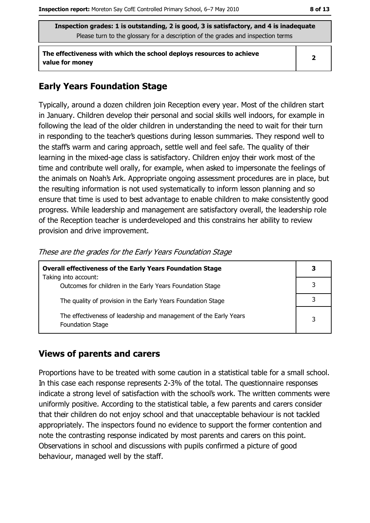The effectiveness with which the school deploys resources to achieve value for money

## **Early Years Foundation Stage**

Typically, around a dozen children join Reception every year. Most of the children start in January. Children develop their personal and social skills well indoors, for example in following the lead of the older children in understanding the need to wait for their turn in responding to the teacher's questions during lesson summaries. They respond well to the staff's warm and caring approach, settle well and feel safe. The quality of their learning in the mixed-age class is satisfactory. Children enjoy their work most of the time and contribute well orally, for example, when asked to impersonate the feelings of the animals on Noah's Ark. Appropriate ongoing assessment procedures are in place, but the resulting information is not used systematically to inform lesson planning and so ensure that time is used to best advantage to enable children to make consistently good progress. While leadership and management are satisfactory overall, the leadership role of the Reception teacher is underdeveloped and this constrains her ability to review provision and drive improvement.

| <b>Overall effectiveness of the Early Years Foundation Stage</b><br>Taking into account:     |   |
|----------------------------------------------------------------------------------------------|---|
| Outcomes for children in the Early Years Foundation Stage                                    |   |
| The quality of provision in the Early Years Foundation Stage                                 |   |
| The effectiveness of leadership and management of the Early Years<br><b>Foundation Stage</b> | 3 |

#### These are the grades for the Early Years Foundation Stage

## **Views of parents and carers**

Proportions have to be treated with some caution in a statistical table for a small school. In this case each response represents 2-3% of the total. The questionnaire responses indicate a strong level of satisfaction with the school's work. The written comments were uniformly positive. According to the statistical table, a few parents and carers consider that their children do not enjoy school and that unacceptable behaviour is not tackled appropriately. The inspectors found no evidence to support the former contention and note the contrasting response indicated by most parents and carers on this point. Observations in school and discussions with pupils confirmed a picture of good behaviour, managed well by the staff.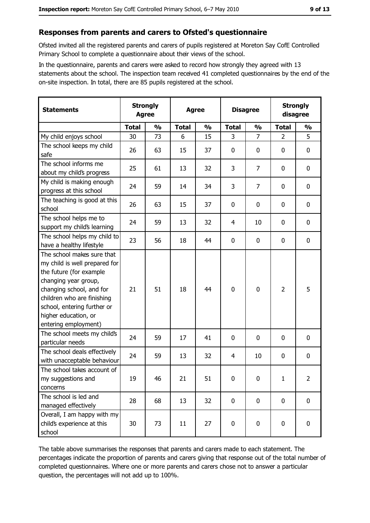# Responses from parents and carers to Ofsted's questionnaire

Ofsted invited all the registered parents and carers of pupils registered at Moreton Say CofE Controlled Primary School to complete a questionnaire about their views of the school.

In the questionnaire, parents and carers were asked to record how strongly they agreed with 13 statements about the school. The inspection team received 41 completed questionnaires by the end of the on-site inspection. In total, there are 85 pupils registered at the school.

| <b>Statements</b>                                                                                                                                                                                                                                       | <b>Strongly</b><br><b>Agree</b> |               | <b>Agree</b> |               | <b>Disagree</b> |                | <b>Strongly</b><br>disagree |                |
|---------------------------------------------------------------------------------------------------------------------------------------------------------------------------------------------------------------------------------------------------------|---------------------------------|---------------|--------------|---------------|-----------------|----------------|-----------------------------|----------------|
|                                                                                                                                                                                                                                                         | <b>Total</b>                    | $\frac{1}{2}$ | <b>Total</b> | $\frac{0}{0}$ | <b>Total</b>    | $\frac{1}{2}$  | <b>Total</b>                | $\frac{1}{2}$  |
| My child enjoys school                                                                                                                                                                                                                                  | 30                              | 73            | 6            | 15            | 3               | $\overline{7}$ | $\overline{2}$              | 5              |
| The school keeps my child<br>safe                                                                                                                                                                                                                       | 26                              | 63            | 15           | 37            | $\mathbf 0$     | 0              | $\mathbf{0}$                | 0              |
| The school informs me<br>about my child's progress                                                                                                                                                                                                      | 25                              | 61            | 13           | 32            | 3               | 7              | $\mathbf{0}$                | 0              |
| My child is making enough<br>progress at this school                                                                                                                                                                                                    | 24                              | 59            | 14           | 34            | 3               | 7              | 0                           | 0              |
| The teaching is good at this<br>school                                                                                                                                                                                                                  | 26                              | 63            | 15           | 37            | $\mathbf 0$     | 0              | 0                           | 0              |
| The school helps me to<br>support my child's learning                                                                                                                                                                                                   | 24                              | 59            | 13           | 32            | 4               | 10             | 0                           | 0              |
| The school helps my child to<br>have a healthy lifestyle                                                                                                                                                                                                | 23                              | 56            | 18           | 44            | $\mathbf 0$     | 0              | 0                           | 0              |
| The school makes sure that<br>my child is well prepared for<br>the future (for example<br>changing year group,<br>changing school, and for<br>children who are finishing<br>school, entering further or<br>higher education, or<br>entering employment) | 21                              | 51            | 18           | 44            | $\mathbf 0$     | 0              | $\overline{2}$              | 5              |
| The school meets my child's<br>particular needs                                                                                                                                                                                                         | 24                              | 59            | 17           | 41            | $\mathbf 0$     | 0              | 0                           | 0              |
| The school deals effectively<br>with unacceptable behaviour                                                                                                                                                                                             | 24                              | 59            | 13           | 32            | $\overline{4}$  | 10             | 0                           | 0              |
| The school takes account of<br>my suggestions and<br>concerns                                                                                                                                                                                           | 19                              | 46            | 21           | 51            | 0               | 0              | 1                           | $\overline{2}$ |
| The school is led and<br>managed effectively                                                                                                                                                                                                            | 28                              | 68            | 13           | 32            | $\mathbf 0$     | 0              | 0                           | $\mathbf 0$    |
| Overall, I am happy with my<br>child's experience at this<br>school                                                                                                                                                                                     | 30                              | 73            | 11           | 27            | $\pmb{0}$       | 0              | $\mathbf 0$                 | 0              |

The table above summarises the responses that parents and carers made to each statement. The percentages indicate the proportion of parents and carers giving that response out of the total number of completed questionnaires. Where one or more parents and carers chose not to answer a particular question, the percentages will not add up to 100%.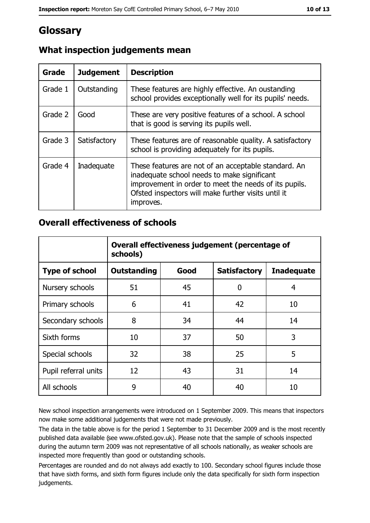# Glossary

| Grade   | <b>Judgement</b> | <b>Description</b>                                                                                                                                                                                                               |
|---------|------------------|----------------------------------------------------------------------------------------------------------------------------------------------------------------------------------------------------------------------------------|
| Grade 1 | Outstanding      | These features are highly effective. An oustanding<br>school provides exceptionally well for its pupils' needs.                                                                                                                  |
| Grade 2 | Good             | These are very positive features of a school. A school<br>that is good is serving its pupils well.                                                                                                                               |
| Grade 3 | Satisfactory     | These features are of reasonable quality. A satisfactory<br>school is providing adequately for its pupils.                                                                                                                       |
| Grade 4 | Inadequate       | These features are not of an acceptable standard. An<br>inadequate school needs to make significant<br>improvement in order to meet the needs of its pupils.<br>Ofsted inspectors will make further visits until it<br>improves. |

# What inspection judgements mean

## **Overall effectiveness of schools**

|                       | Overall effectiveness judgement (percentage of<br>schools) |      |                     |                   |
|-----------------------|------------------------------------------------------------|------|---------------------|-------------------|
| <b>Type of school</b> | <b>Outstanding</b>                                         | Good | <b>Satisfactory</b> | <b>Inadequate</b> |
| Nursery schools       | 51                                                         | 45   | 0                   | 4                 |
| Primary schools       | 6                                                          | 41   | 42                  | 10                |
| Secondary schools     | 8                                                          | 34   | 44                  | 14                |
| Sixth forms           | 10                                                         | 37   | 50                  | 3                 |
| Special schools       | 32                                                         | 38   | 25                  | 5                 |
| Pupil referral units  | 12                                                         | 43   | 31                  | 14                |
| All schools           | 9                                                          | 40   | 40                  | 10                |

New school inspection arrangements were introduced on 1 September 2009. This means that inspectors now make some additional judgements that were not made previously.

The data in the table above is for the period 1 September to 31 December 2009 and is the most recently published data available (see www.ofsted.gov.uk). Please note that the sample of schools inspected during the autumn term 2009 was not representative of all schools nationally, as weaker schools are inspected more frequently than good or outstanding schools.

Percentages are rounded and do not always add exactly to 100. Secondary school figures include those that have sixth forms, and sixth form figures include only the data specifically for sixth form inspection judgements.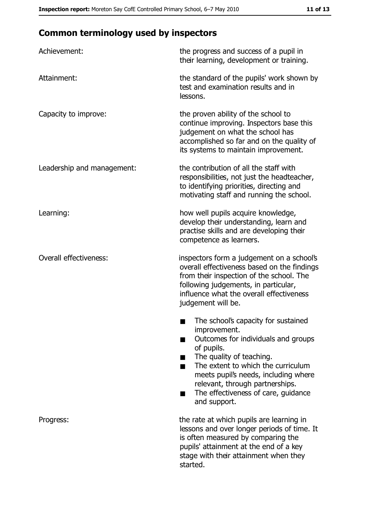# **Common terminology used by inspectors**

| Achievement:               | the progress and success of a pupil in<br>their learning, development or training.                                                                                                                                                                                                                           |
|----------------------------|--------------------------------------------------------------------------------------------------------------------------------------------------------------------------------------------------------------------------------------------------------------------------------------------------------------|
| Attainment:                | the standard of the pupils' work shown by<br>test and examination results and in<br>lessons.                                                                                                                                                                                                                 |
| Capacity to improve:       | the proven ability of the school to<br>continue improving. Inspectors base this<br>judgement on what the school has<br>accomplished so far and on the quality of<br>its systems to maintain improvement.                                                                                                     |
| Leadership and management: | the contribution of all the staff with<br>responsibilities, not just the headteacher,<br>to identifying priorities, directing and<br>motivating staff and running the school.                                                                                                                                |
| Learning:                  | how well pupils acquire knowledge,<br>develop their understanding, learn and<br>practise skills and are developing their<br>competence as learners.                                                                                                                                                          |
| Overall effectiveness:     | inspectors form a judgement on a school's<br>overall effectiveness based on the findings<br>from their inspection of the school. The<br>following judgements, in particular,<br>influence what the overall effectiveness<br>judgement will be.                                                               |
|                            | The school's capacity for sustained<br>improvement.<br>Outcomes for individuals and groups<br>of pupils.<br>The quality of teaching.<br>The extent to which the curriculum<br>meets pupil's needs, including where<br>relevant, through partnerships.<br>The effectiveness of care, guidance<br>and support. |
| Progress:                  | the rate at which pupils are learning in<br>lessons and over longer periods of time. It<br>is often measured by comparing the<br>pupils' attainment at the end of a key<br>stage with their attainment when they<br>started.                                                                                 |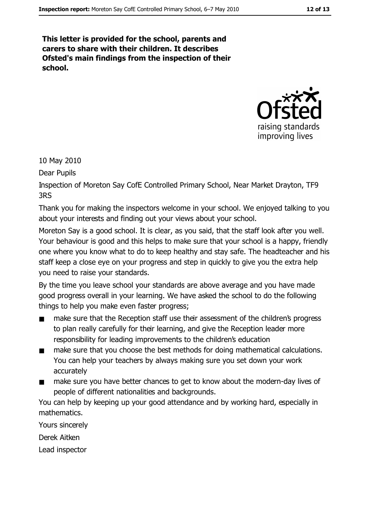This letter is provided for the school, parents and carers to share with their children. It describes Ofsted's main findings from the inspection of their school.



10 May 2010

Dear Pupils

Inspection of Moreton Say CofE Controlled Primary School, Near Market Drayton, TF9 3RS

Thank you for making the inspectors welcome in your school. We enjoyed talking to you about your interests and finding out your views about your school.

Moreton Say is a good school. It is clear, as you said, that the staff look after you well. Your behaviour is good and this helps to make sure that your school is a happy, friendly one where you know what to do to keep healthy and stay safe. The headteacher and his staff keep a close eye on your progress and step in quickly to give you the extra help you need to raise your standards.

By the time you leave school your standards are above average and you have made good progress overall in your learning. We have asked the school to do the following things to help you make even faster progress;

- make sure that the Reception staff use their assessment of the children's progress  $\blacksquare$ to plan really carefully for their learning, and give the Reception leader more responsibility for leading improvements to the children's education
- make sure that you choose the best methods for doing mathematical calculations.  $\blacksquare$ You can help your teachers by always making sure you set down your work accurately
- make sure you have better chances to get to know about the modern-day lives of  $\blacksquare$ people of different nationalities and backgrounds.

You can help by keeping up your good attendance and by working hard, especially in mathematics.

Yours sincerely

Derek Aitken

Lead inspector